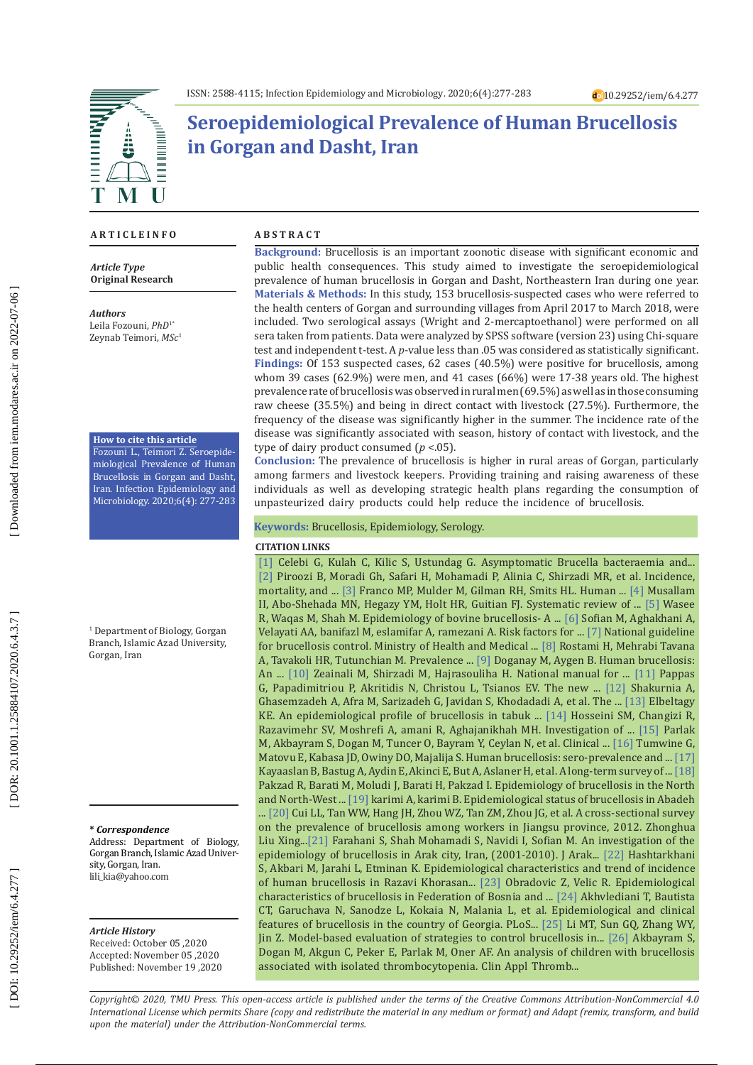

# **Seroepidemiological Prevalence of Human Brucellosis in Gorgan and Dasht, Iran**

#### **A R T I C L E I N F O**

*Article Type* **Original Research**

*Authors*

Leila Fozouni, *PhD*1\* Zeynab Teimori, *MSc* 1

#### **How to cite this article**

Fozouni L., Teimori Z. Seroepide miological Prevalence of Human Brucellosis in Gorgan and Dasht, Iran. Infection Epidemiology and Microbiology. 2020;6(4): 277-283

1 Department of Biology, Gorgan Branch, Islamic Azad University, Gorgan, Iran

#### **\*** *Correspondence*

Address: Department of Biology, Gorgan Branch, Islamic Azad Univer sity, Gorgan, Iran. [lili\\_kia@yahoo.com](mailto:lili_kia@yahoo.com)

#### *Article History*

Received: October 05 ,2020 Accepted: November 05 ,2020 Published: November 19 ,2020

#### **A B S T R A C T**

**Background:** Brucellosis is an important zoonotic disease with significant economic and public health consequences. This study aimed to investigate the seroepidemiological prevalence of human brucellosis in Gorgan and Dasht, Northeastern Iran during one year. **Materials & Methods:** In this study, 153 brucellosis-suspected cases who were referred to the health centers of Gorgan and surrounding villages from April 2017 to March 2018, were included. Two serological assays (Wright and 2-mercaptoethanol) were performed on all sera taken from patients. Data were analyzed by SPSS software (version 23) using Chi-square test and independent t-test. A *p*-value less than .05 was considered as statistically significant. **Findings:** Of 153 suspected cases, 62 cases (40.5%) were positive for brucellosis, among whom 39 cases (62.9%) were men, and 41 cases (66%) were 17-38 years old. The highest prevalence rate of brucellosis was observed in rural men (69.5%) as well as in those consuming raw cheese (35.5%) and being in direct contact with livestock (27.5%). Furthermore, the frequency of the disease was significantly higher in the summer. The incidence rate of the disease was significantly associated with season, history of contact with livestock, and the type of dairy product consumed ( *p* <.05).

**Conclusion:** The prevalence of brucellosis is higher in rural areas of Gorgan, particularly among farmers and livestock keepers. Providing training and raising awareness of these individuals as well as developing strategic health plans regarding the consumption of unpasteurized dairy products could help reduce the incidence of brucellosis.

#### **Keywords:** Brucellosis, Epidemiology, Serology.

#### **CITATION LINKS**

R, Waqas M, Shah M. Epidemiology of bovine brucellosis- A ... [\[6\]](https://www.sciencedirect.com/science/article/pii/S1201971207001191) Sofian M, Aghakhani A, [\[1\]](https://www.tandfonline.com/doi/abs/10.1080/00365540600978898) Celebi G, Kulah C, Kilic S, Ustundag G. Asymptomatic Brucella bacteraemia and... [\[2\]](http://ijph.tums.ac.ir/index.php/ijph/article/view/16415) Piroozi B, Moradi Gh, Safari H, Mohamadi P, Alinia C, Shirzadi MR, et al. Incidence, mortality, and ... [\[3\]](https://www.sciencedirect.com/science/article/pii/S1473309907702864) Franco MP, Mulder M, Gilman RH, Smits HL. Human ... [\[4\]](https://www.cambridge.org/core/journals/epidemiology-and-infection/article/systematic-review-of-brucellosis-in-the-middle-east-disease-frequency-in-ruminants-and-humans-and-risk-factors-for-human-infection/353B1CAC9072628F461D54964C0929E8) Musallam II, Abo-Shehada MN, Hegazy YM, Holt HR, Guitian FJ. Systematic review of ... [\[5\]](https://www.google.com/url?sa=t&rct=j&q=&esrc=s&source=web&cd=&cad=rja&uact=8&ved=2ahUKEwi8_9DxwtXtAhWttYsKHS3BAoMQFjAAegQIARAC&url=https%3A%2F%2Fwww.researchgate.net%2Fpublication%2F269075548_Epidemiology_of_Bovine_Brucellosis-a_review_of_literature&usg=\
AOvVaw2YLIypDof567gdOQGIMBmY) Wasee Velayati AA, banifazl M, eslamifar A, ramezani A. Risk factors for ... [\[7\]](https://www.google.com/url?sa=t&rct=j&q=&esrc=s&source=web&cd=&cad=rja&uact=8&ved=2ahUKEwiV97WlxdXtAhUFAhAIHSINBZQQFjACegQIAhAC&url=https%3A%2F%2Fwww.health.nsw.gov.au%2FInfectious%2Fcontrolguideline%2FPages%2Fbrucellosis.aspx&usg=AOvVaw12jpnZRVcWFvaNZFiK\
RKNk) National guideline for brucellosis control. Ministry of Health and Medical ... [\[8\]](https://pdfs.semanticscholar.org/8641/2ca05a310a5630d176ab3a030ac275a479de.pdf) Rostami H, Mehrabi Tavana A, Tavakoli HR, Tutunchian M. Prevalence ... [\[9\]](https://www.sciencedirect.com/science/article/pii/S120197120390049X) Doganay M, Aygen B. Human brucellosis: An ... [10] Zeainali M, Shirzadi M, Hajrasouliha H. National manual for ... [\[11\]](https://www.google.com/url?sa=t&rct=j&q=&esrc=s&source=web&cd=&cad=rja&uact=8&ved=2ahUKEwjZkNe7zdXtAhWsmIsKHW14CVgQFjAAegQIARAC&url=https%3A%2F%2Fpubmed.ncbi.nlm.nih.gov%2F16439329%2F&usg=AOvVaw3oS0Om2gKWVBJHhH96GcT3) Pappas G, Papadimitriou P, Akritidis N, Christou L, Tsianos EV. The new ... [\[12\]](http://search.ebscohost.com/login.aspx?direct=true&profile=ehost&scope=site&authtype=crawler&jrnl=10279520&AN=98797427&h=%2B8BepIgv4Vrj7Afwstf5E9ThLW3jGfUb7B1HulEPnpkr9vw1UaUrX0IJbwohPIqnkrlQoUWT%2FLCR7pAlvhhjDg%3D%3D&crl=c) Shakurnia A, Ghasemzadeh A, Afra M, Sarizadeh G, Javidan S, Khodadadi A, et al. The ... [\[13\]](https://apps.who.int/iris/handle/10665/119090) Elbeltagy KE. An epidemiological profile of brucellosis in tabuk ... [\[14\]](https://www.google.com/url?sa=t&rct=j&q=&esrc=s&source=web&cd=&cad=rja&uact=8&ved=2ahUKEwiMrdiAz9XtAhUklIsKHRFnC7wQFjAAegQIAxAC&url=https%3A%2F%2Fwww.sid.ir%2Fen%2Fjournal%2FViewPaper.aspx%3Fid%3D525785&usg=AOvVaw1RopVIX8EfysqjYljsg1wk) Hosseini SM, Changizi R, Razavimehr SV, Moshrefi A, amani R, Aghajanikhah MH. Investigation of ... [\[15\]](https://onlinelibrary.wiley.com/doi/abs/10.1111/ped.12598) Parlak M, Akbayram S, Dogan M, Tuncer O, Bayram Y, Ceylan N, et al. Clinical ... [\[16\]](https://bmcpublichealth.biomedcentral.com/articles/10.1186/s12889-015-2242-z) Tumwine G, Matovu E, Kabasa JD, Owiny DO, Majalija S. Human brucellosis: sero-prevalence and ... [\[17\]](https://www.tandfonline.com/doi/abs/10.3109/23744235.2015.1107187)  Kayaaslan B, Bastug A, Aydin E, Akinci E, But A, Aslaner H, et al. A long-term survey of ... [\[18\]](http://jps.ajaums.ac.ir/browse.php?a_code=A-10-1-33&sid=1&slc_lang=en)  Pakzad R, Barati M, Moludi J, Barati H, Pakzad I. Epidemiology of brucellosis in the North and North-West ... [\[19\]](https://www.google.com/url?sa=t&rct=j&q=&esrc=s&source=web&cd=&ved=2ahUKEwjn_9PD0dXtAhXuVhUIHYTyDsMQFjAAegQIARAC&url=http%3A%2F%2Fjhr.ssu.ac.ir%2Farticle-1-446-en.pdf&usg=AOvVaw3rUxWNF0uSuOmySVCU5VuD) karimi A, karimi B. Epidemiological status of brucellosis in Abadeh ... [\[20\]](https://www.ncbi.nlm.nih.gov/pubmed/24257169) Cui LL, Tan WW, Hang JH, Zhou WZ, Tan ZM, Zhou JG, et al. A cross-sectional survey on the prevalence of brucellosis among workers in Jiangsu province, 2012. Zhonghua Liu Xing..[.\[21\]](http://jams.arakmu.ac.ir/article-1-1364-en.html) Farahani S, Shah Mohamadi S, Navidi I, Sofian M. An investigation of the epidemiology of brucellosis in Arak city, Iran, (2001-2010). J Arak... [\[22\]](http://eprints.mums.ac.ir/3955/) Hashtarkhani S, Akbari M, Jarahi L, Etminan K. Epidemiological characteristics and trend of incidence of human brucellosis in Razavi Khorasan... [\[23\]](https://hrcak.srce.hr/file/88586) Obradovic Z, Velic R. Epidemiological characteristics of brucellosis in Federation of Bosnia and ... [\[24\]](https://www.google.com/url?sa=t&rct=j&q=&esrc=s&source=web&cd=&cad=rja&uact=8&ved=2ahUKEwj08e-L09XtAhUqxosKHSt_D4IQFjAAegQIAhAC&url=https%3A%2F%2Fwww.ncbi.nlm.nih.gov%2Fpmc%2Farticles%2FPMC5249056%2F&usg=AOvVaw1OoBG723Gi5UgXIfhHYI8J) Akhvlediani T, Bautista CT, Garuchava N, Sanodze L, Kokaia N, Malania L, et al. Epidemiological and clinical features of brucellosis in the country of Georgia. PLoS... [\[25\]](https://www.mdpi.com/1660-4601/14/3/295) Li MT, Sun GQ, Zhang WY, Jin Z. Model-based evaluation of strategies to control brucellosis in... [\[26\]](https://journals.sagepub.com/doi/abs/10.1177/1076029610382104) Akbayram S, Dogan M, Akgun C, Peker E, Parlak M, Oner AF. An analysis of children with brucellosis associated with isolated thrombocytopenia. Clin Appl Thromb...

*Copyright© 2020, TMU Press. This open-access article is published under the terms of the Creative Commons Attribution-NonCommercial 4.0 International License which permits Share (copy and redistribute the material in any medium or format) and Adapt (remix, transform, and build upon the material) under the Attribution-NonCommercial terms.*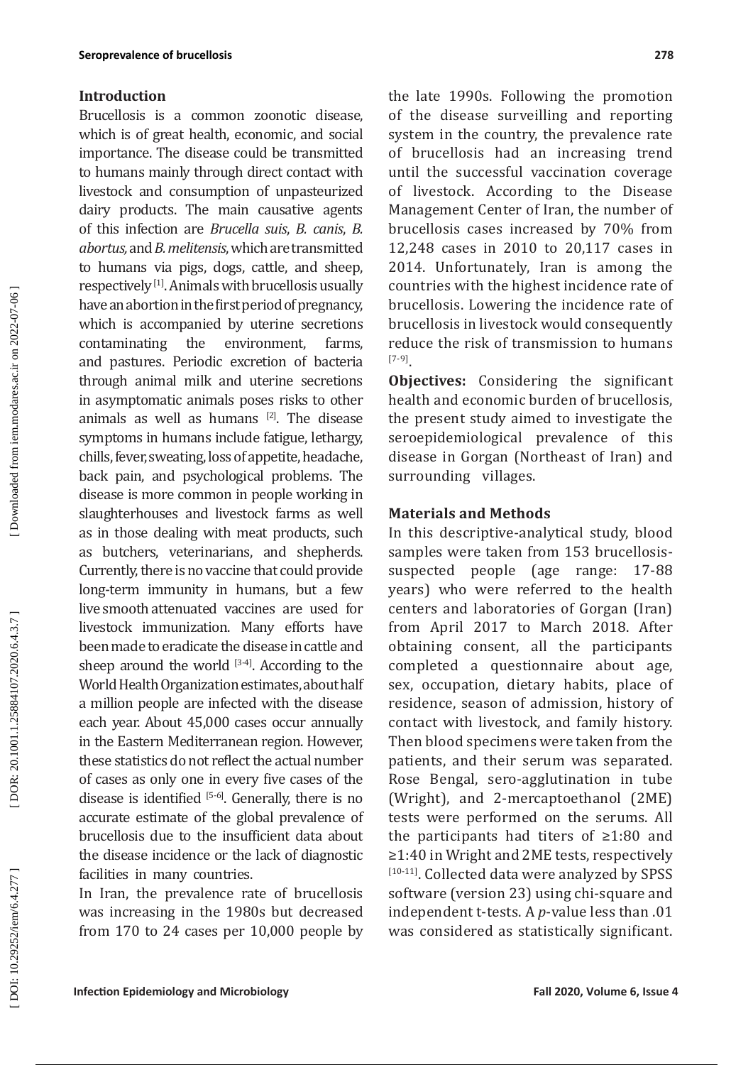## **Introduction**

Brucellosis is a common zoonotic disease, which is of great health, economic, and social importance. The disease could be transmitted to humans mainly through direct contact with livestock and consumption of unpasteurized dairy products. The main causative agents of this infection are *Brucella suis*, *B. canis*, *B. abortus,* and *B. melitensis*, which are transmitted to humans via pigs, dogs, cattle, and sheep, respectively [1]. Animals with brucellosis usually have an abortion in the first period of pregnancy, which is accompanied by uterine secretions<br>contaminating the environment, farms, contaminating the environment, farms, and pastures. Periodic excretion of bacteria through animal milk and uterine secretions in asymptomatic animals poses risks to other animals as well as humans  $[2]$ . The disease symptoms in humans include fatigue, lethargy, chills, fever, sweating, loss of appetite, headache, back pain, and psychological problems. The disease is more common in people working in slaughterhouses and livestock farms as well as in those dealing with meat products, such as butchers, veterinarians, and shepherds. Currently, there is no vaccine that could provide long-term immunity in humans, but a few live smooth attenuated vaccines are used for livestock immunization. Many efforts have been made to eradicate the disease in cattle and sheep around the world  $[3-4]$ . According to the World Health Organization estimates, about half a million people are infected with the disease each year. About 45,000 cases occur annually in the Eastern Mediterranean region. However, these statistics do not reflect the actual number of cases as only one in every five cases of the disease is identified  $[5-6]$ . Generally, there is no accurate estimate of the global prevalence of brucellosis due to the insufficient data about the disease incidence or the lack of diagnostic facilities in many countries.

In Iran, the prevalence rate of brucellosis was increasing in the 1980s but decreased from 170 to 24 cases per 10,000 people by

the late 1990s. Following the promotion of the disease surveilling and reporting system in the country, the prevalence rate of brucellosis had an increasing trend until the successful vaccination coverage of livestock. According to the Disease Management Center of Iran, the number of brucellosis cases increased by 70% from 12,248 cases in 2010 to 20,117 cases in 2014. Unfortunately, Iran is among the countries with the highest incidence rate of brucellosis. Lowering the incidence rate of brucellosis in livestock would consequently reduce the risk of transmission to humans [7-9].

**Objectives:** Considering the significant health and economic burden of brucellosis, the present study aimed to investigate the seroepidemiological prevalence of this disease in Gorgan (Northeast of Iran) and surrounding villages.

# **Materials and Methods**

In this descriptive-analytical study, blood samples were taken from 153 brucellosissuspected people (age range: 17-88 years) who were referred to the health centers and laboratories of Gorgan (Iran) from April 2017 to March 2018. After obtaining consent, all the participants completed a questionnaire about age, sex, occupation, dietary habits, place of residence, season of admission, history of contact with livestock, and family history. Then blood specimens were taken from the patients, and their serum was separated. Rose Bengal, sero-agglutination in tube (Wright), and 2-mercaptoethanol (2ME) tests were performed on the serums. All the participants had titers of ≥1:80 and ≥1:40 in Wright and 2ME tests, respectively [10-11]. Collected data were analyzed by SPSS software (version 23) using chi-square and independent t-tests. A *p*-value less than .01 was considered as statistically significant.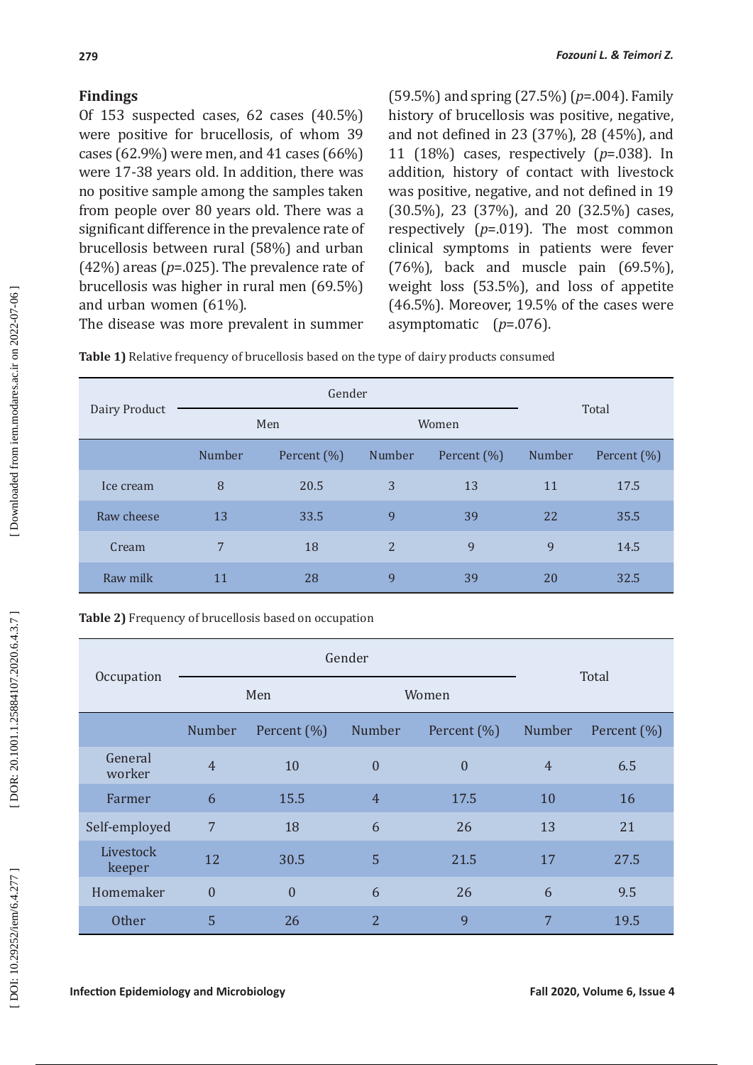# **Findings**

Of 153 suspected cases, 62 cases (40.5%) were positive for brucellosis, of whom 39 cases (62.9%) were men, and 41 cases (66%) were 17-38 years old. In addition, there was no positive sample among the samples taken from people over 80 years old. There was a significant difference in the prevalence rate of brucellosis between rural (58%) and urban  $(42%)$  areas ( $p=.025$ ). The prevalence rate of brucellosis was higher in rural men (69.5%) and urban women (61%).

(59.5%) and spring (27.5%) ( *p*=.004). Family history of brucellosis was positive, negative, and not defined in 23 (37%), 28 (45%), and 11 (18%) cases, respectively ( *p*=.038). In addition, history of contact with livestock was positive, negative, and not defined in 19 (30.5%), 23 (37%), and 20 (32.5%) cases, respectively ( *p*=.019). The most common clinical symptoms in patients were fever (76%), back and muscle pain (69.5%), weight loss (53.5%), and loss of appetite (46.5%). Moreover, 19.5% of the cases were asymptomatic ( *p*=.076).

The disease was more prevalent in summer

| Dairy Product |        | Gender      | Total          |             |               |             |
|---------------|--------|-------------|----------------|-------------|---------------|-------------|
|               | Men    |             |                |             | Women         |             |
|               | Number | Percent (%) | Number         | Percent (%) | <b>Number</b> | Percent (%) |
| Ice cream     | 8      | 20.5        | 3              | 13          | 11            | 17.5        |
| Raw cheese    | 13     | 33.5        | 9              | 39          | 22            | 35.5        |
| Cream         | 7      | 18          | $\overline{2}$ | 9           | 9             | 14.5        |
| Raw milk      | 11     | 28          | 9              | 39          | 20            | 32.5        |

**Table 1)** Relative frequency of brucellosis based on the type of dairy products consumed

| Table 2) Frequency of brucellosis based on occupation |
|-------------------------------------------------------|
|-------------------------------------------------------|

| Occupation          |                | Gender         | Total          |                  |                |             |
|---------------------|----------------|----------------|----------------|------------------|----------------|-------------|
|                     | Men            |                |                |                  | Women          |             |
|                     | Number         | Percent (%)    | Number         | Percent (%)      | Number         | Percent (%) |
| General<br>worker   | $\overline{4}$ | 10             | $\overline{0}$ | $\boldsymbol{0}$ | $\overline{4}$ | 6.5         |
| Farmer              | 6              | 15.5           | $\overline{4}$ | 17.5             | 10             | 16          |
| Self-employed       | 7              | 18             | 6              | 26               | 13             | 21          |
| Livestock<br>keeper | 12             | 30.5           | 5              | 21.5             | 17             | 27.5        |
| Homemaker           | $\overline{0}$ | $\overline{0}$ | 6              | 26               | 6              | 9.5         |
| <b>Other</b>        | 5              | 26             | $\overline{2}$ | 9                | 7              | 19.5        |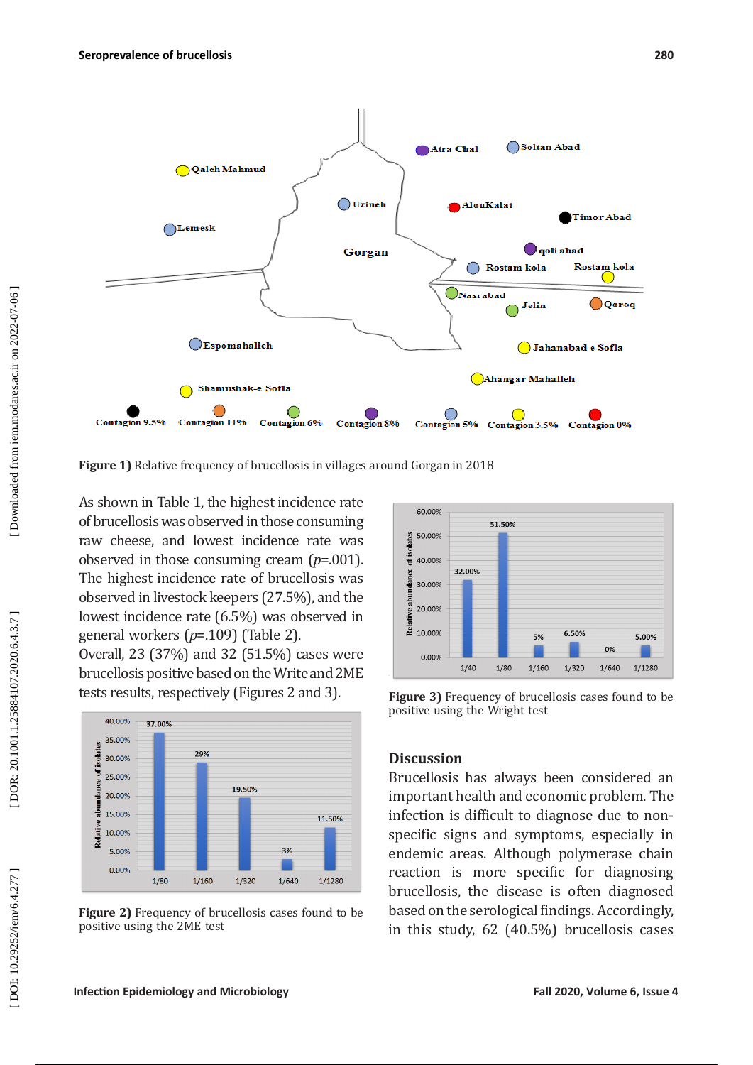

**Figure 1)** Relative frequency of brucellosis in villages around Gorgan in 2018

As shown in Table 1, the highest incidence rate of brucellosis was observed in those consuming raw cheese, and lowest incidence rate was observed in those consuming cream (*p*=.001). The highest incidence rate of brucellosis was observed in livestock keepers (27.5%), and the lowest incidence rate (6.5%) was observed in general workers (*p*=.109) (Table 2).

Overall, 23 (37%) and 32 (51.5%) cases were brucellosis positive based on the Write and 2ME tests results, respectively (Figures 2 and 3).



**Figure 2)** Frequency of brucellosis cases found to be positive using the 2ME test



**Figure 3)** Frequency of brucellosis cases found to be positive using the Wright test

# **Discussion**

Brucellosis has always been considered an important health and economic problem. The infection is difficult to diagnose due to nonspecific signs and symptoms, especially in endemic areas. Although polymerase chain reaction is more specific for diagnosing brucellosis, the disease is often diagnosed based on the serological findings. Accordingly, in this study, 62 (40.5%) brucellosis cases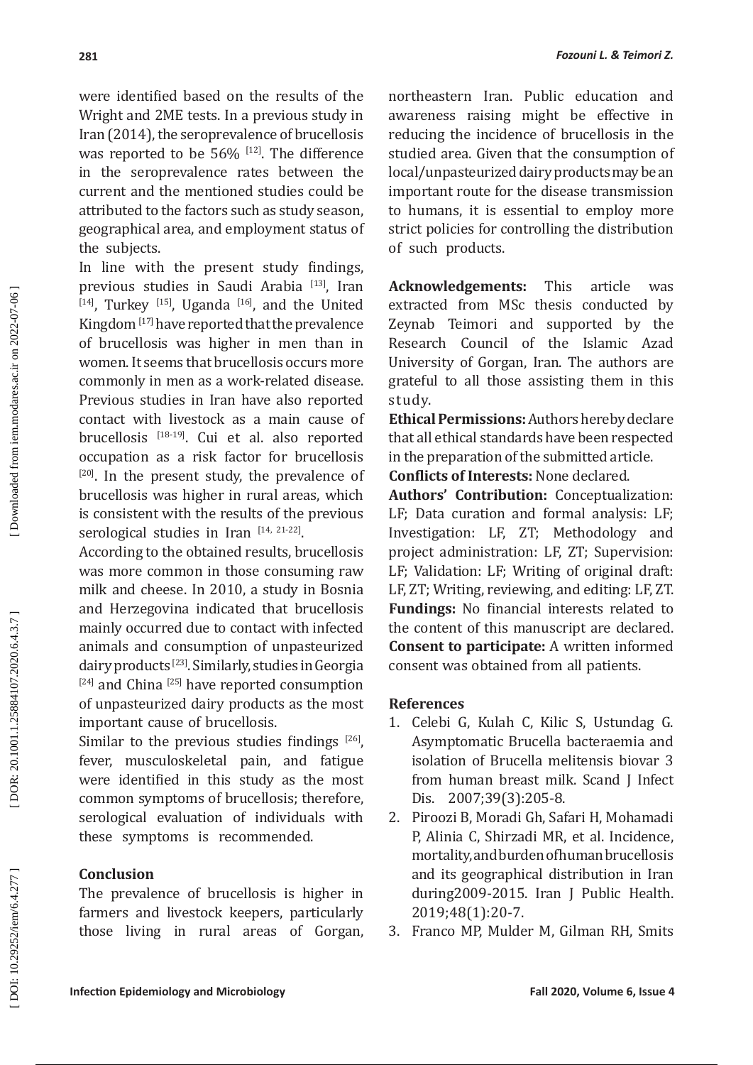were identified based on the results of the Wright and 2ME tests. In a previous study in Iran (2014), the seroprevalence of brucellosis was reported to be  $56\%$  <sup>[12]</sup>. The difference in the seroprevalence rates between the current and the mentioned studies could be attributed to the factors such as study season, geographical area, and employment status of the subjects.

In line with the present study findings, previous studies in Saudi Arabia [13], Iran  $[14]$ , Turkey  $[15]$ , Uganda  $[16]$ , and the United Kingdom [17] have reported that the prevalence of brucellosis was higher in men than in women. It seems that brucellosis occurs more commonly in men as a work-related disease. Previous studies in Iran have also reported contact with livestock as a main cause of brucellosis [18-19]. Cui et al. also reported occupation as a risk factor for brucellosis  $[20]$ . In the present study, the prevalence of brucellosis was higher in rural areas, which is consistent with the results of the previous serological studies in Iran  $[14, 21-22]$ .

According to the obtained results, brucellosis was more common in those consuming raw milk and cheese. In 2010, a study in Bosnia and Herzegovina indicated that brucellosis mainly occurred due to contact with infected animals and consumption of unpasteurized dairy products [23]. Similarly, studies in Georgia [24] and China [25] have reported consumption of unpasteurized dairy products as the most important cause of brucellosis.

Similar to the previous studies findings  $[26]$ , fever, musculoskeletal pain, and fatigue were identified in this study as the most common symptoms of brucellosis; therefore, serological evaluation of individuals with these symptoms is recommended.

# **Conclusion**

The prevalence of brucellosis is higher in farmers and livestock keepers, particularly those living in rural areas of Gorgan, northeastern Iran. Public education and awareness raising might be effective in reducing the incidence of brucellosis in the studied area. Given that the consumption of local/unpasteurized dairy products may be an important route for the disease transmission to humans, it is essential to employ more strict policies for controlling the distribution of such products.

**Acknowledgements:** This article was extracted from MSc thesis conducted by Zeynab Teimori and supported by the Research Council of the Islamic Azad University of Gorgan, Iran. The authors are grateful to all those assisting them in this study.

**Ethical Permissions:** Authors hereby declare that all ethical standards have been respected in the preparation of the submitted article.

**Conflicts of Interests:** None declared.

**Authors' Contribution:** Conceptualization: LF; Data curation and formal analysis: LF; Investigation: LF, ZT; Methodology and project administration: LF, ZT; Supervision: LF; Validation: LF; Writing of original draft: LF, ZT; Writing, reviewing, and editing: LF, ZT. **Fundings:** No financial interests related to the content of this manuscript are declared. **Consent to participate:** A written informed consent was obtained from all patients.

### **References**

- 1. Celebi G, Kulah C, Kilic S, Ustundag G. Asymptomatic Brucella bacteraemia and isolation of Brucella melitensis biovar 3 from human breast milk. Scand J Infect Dis. 2007;39(3):205-8.
- 2. Piroozi B, Moradi Gh, Safari H, Mohamadi P, Alinia C, Shirzadi MR, et al. Incidence, mortality, and burden of human brucellosis and its geographical distribution in Iran during2009-2015. Iran J Public Health. 2019;48(1):20-7.
- 3. Franco MP, Mulder M, Gilman RH, Smits

DOR: 20.1001.1.25884107.2020.6.4.3.7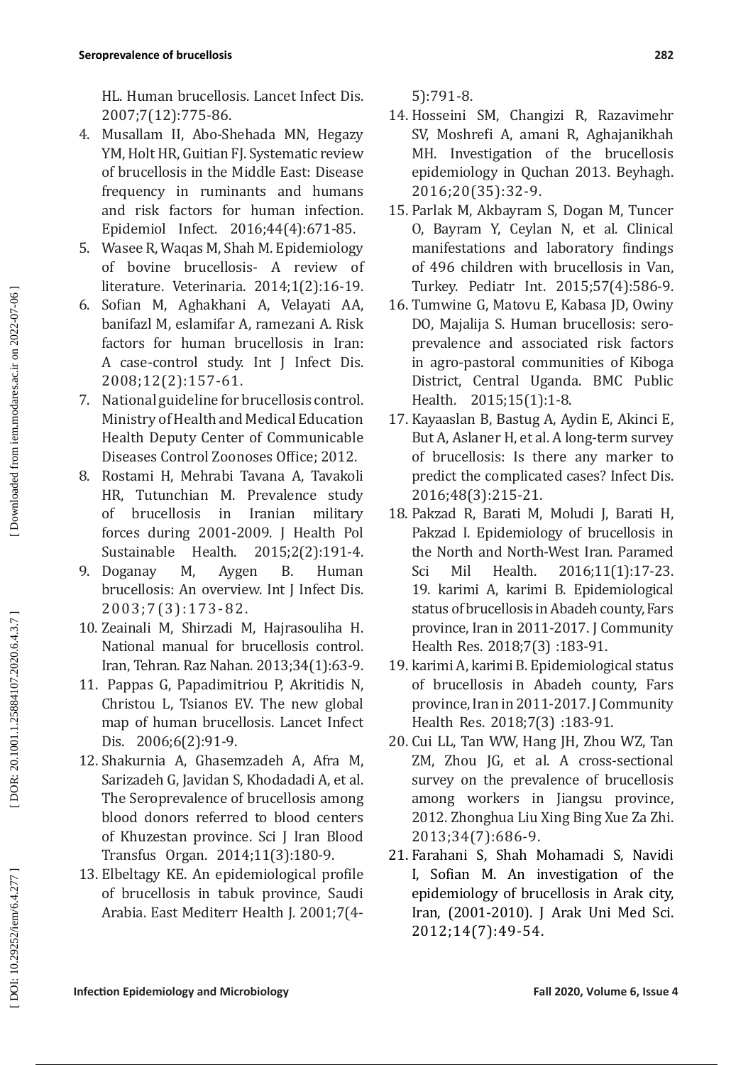HL. Human brucellosis. Lancet Infect Dis. 2007;7(12):775-86.

- 4. Musallam II, Abo-Shehada MN, Hegazy YM, Holt HR, Guitian FJ. Systematic review of brucellosis in the Middle East: Disease frequency in ruminants and humans and risk factors for human infection. Epidemiol Infect. 2016;44(4):671-85.
- 5. Wasee R, Waqas M, Shah M. Epidemiology of bovine brucellosis- A review of literature. Veterinaria. 2014;1(2):16-19.
- 6. Sofian M, Aghakhani A, Velayati AA, banifazl M, eslamifar A, ramezani A. Risk factors for human brucellosis in Iran: A case-control study. Int J Infect Dis. 2008;12(2):157-61.
- 7. National guideline for brucellosis control. Ministry of Health and Medical Education Health Deputy Center of Communicable Diseases Control Zoonoses Office; 2012.
- 8. Rostami H, Mehrabi Tavana A, Tavakoli HR, Tutunchian M. Prevalence study of brucellosis in Iranian military forces during 2001-2009. J Health Pol<br>Sustainable Health. 2015;2(2):191-4. Sustainable Health. 2015;2(2):191-4.
- 9. Doganay M, Aygen B. Human brucellosis: An overview. Int J Infect Dis. 2003;7(3):173-82.
- 10. Zeainali M, Shirzadi M, Hajrasouliha H. National manual for brucellosis control. Iran, Tehran. Raz Nahan. 2013;34(1):63-9.
- 11. Pappas G, Papadimitriou P, Akritidis N, Christou L, Tsianos EV. The new global map of human brucellosis. Lancet Infect Dis. 2006;6(2):91-9.
- 12. Shakurnia A, Ghasemzadeh A, Afra M, Sarizadeh G, Javidan S, Khodadadi A, et al. The Seroprevalence of brucellosis among blood donors referred to blood centers of Khuzestan province. Sci J Iran Blood Transfus Organ. 2014;11(3):180-9.
- 13. Elbeltagy KE. An epidemiological profile of brucellosis in tabuk province, Saudi Arabia. East Mediterr Health J. 2001;7(4-

5):791-8.

- 14. Hosseini SM, Changizi R, Razavimehr SV, Moshrefi A, amani R, Aghajanikhah MH. Investigation of the brucellosis epidemiology in Quchan 2013. Beyhagh. 2016;20(35):32-9.
- 15. Parlak M, Akbayram S, Dogan M, Tuncer O, Bayram Y, Ceylan N, et al. Clinical manifestations and laboratory findings of 496 children with brucellosis in Van, Turkey. Pediatr Int. 2015;57(4):586-9.
- 16. Tumwine G, Matovu E, Kabasa JD, Owiny DO, Majalija S. Human brucellosis: seroprevalence and associated risk factors in agro-pastoral communities of Kiboga District, Central Uganda. BMC Public Health. 2015;15(1):1-8.
- 17. Kayaaslan B, Bastug A, Aydin E, Akinci E, But A, Aslaner H, et al. A long-term survey of brucellosis: Is there any marker to predict the complicated cases? Infect Dis. 2016;48(3):215-21.
- 18. Pakzad R, Barati M, Moludi J, Barati H, Pakzad I. Epidemiology of brucellosis in the North and North-West Iran. Paramed Sci Mil Health. 2016;11(1):17-23. 19. karimi A, karimi B. Epidemiological status of brucellosis in Abadeh county, Fars province, Iran in 2011-2017. J Community Health Res. 2018;7(3) :183-91.
- 19. karimi A, karimi B. Epidemiological status of brucellosis in Abadeh county, Fars province, Iran in 2011-2017. J Community Health Res. 2018;7(3) :183-91.
- 20. Cui LL, Tan WW, Hang JH, Zhou WZ, Tan ZM, Zhou JG, et al. A cross-sectional survey on the prevalence of brucellosis among workers in Jiangsu province, 2012. Zhonghua Liu Xing Bing Xue Za Zhi. 2013;34(7):686-9.
- 21. Farahani S, Shah Mohamadi S, Navidi I, Sofian M. An investigation of the epidemiology of brucellosis in Arak city, Iran, (2001-2010). J Arak Uni Med Sci. 2012;14(7):49-54.

DOI: 10.29252/iem/6.4.277